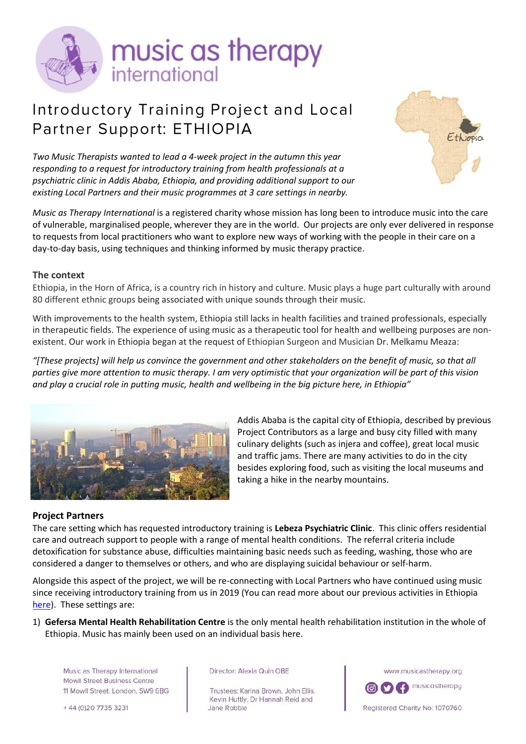

# Introductory Training Project and Local Partner Support: ETHIOPIA



*Two Music Therapists wanted to lead a 4-week project in the autumn this year responding to a request for introductory training from health professionals at a psychiatric clinic in Addis Ababa, Ethiopia, and providing additional support to our existing Local Partners and their music programmes at 3 care settings in nearby.*

*Music as Therapy International* is a registered charity whose mission has long been to introduce music into the care of vulnerable, marginalised people, wherever they are in the world. Our projects are only ever delivered in response to requests from local practitioners who want to explore new ways of working with the people in their care on a day-to-day basis, using techniques and thinking informed by music therapy practice.

### **The context**

Ethiopia, in the Horn of Africa, is a country rich in history and culture. Music plays a huge part culturally with around 80 different ethnic groups being associated with unique sounds through their music.

With improvements to the health system, Ethiopia still lacks in health facilities and trained professionals, especially in therapeutic fields. The experience of using music as a therapeutic tool for health and wellbeing purposes are nonexistent. Our work in Ethiopia began at the request of Ethiopian Surgeon and Musician Dr. Melkamu Meaza:

*"[These projects] will help us convince the government and other stakeholders on the benefit of music, so that all parties give more attention to music therapy. I am very optimistic that your organization will be part of this vision and play a crucial role in putting music, health and wellbeing in the big picture here, in Ethiopia"*



Addis Ababa is the capital city of Ethiopia, described by previous Project Contributors as a large and busy city filled with many culinary delights (such as injera and coffee), great local music and traffic jams. There are many activities to do in the city besides exploring food, such as visiting the local museums and taking a hike in the nearby mountains.

#### **Project Partners**

The care setting which has requested introductory training is **Lebeza Psychiatric Clinic**. This clinic offers residential care and outreach support to people with a range of mental health conditions. The referral criteria include detoxification for substance abuse, difficulties maintaining basic needs such as feeding, washing, those who are considered a danger to themselves or others, and who are displaying suicidal behaviour or self-harm.

Alongside this aspect of the project, we will be re-connecting with Local Partners who have continued using music since receiving introductory training from us in 2019 (You can read more about our previous activities in Ethiopia [here\)](https://www.musicastherapy.org/country/ethiopia/). These settings are:

1) **Gefersa Mental Health Rehabilitation Centre** is the only mental health rehabilitation institution in the whole of Ethiopia. Music has mainly been used on an individual basis here.

Music as Therapy International Mowll Street Business Centre 11 Mowll Street, London, SW9 6BG

+44 (0) 20 7735 3231

Director: Alexia Quin OBE

Trustees: Karina Brown, John Ellis, Kevin Huttly, Dr Hannah Reid and Jane Robbie

www.musicastherapy.org



Registered Charity No: 1070760